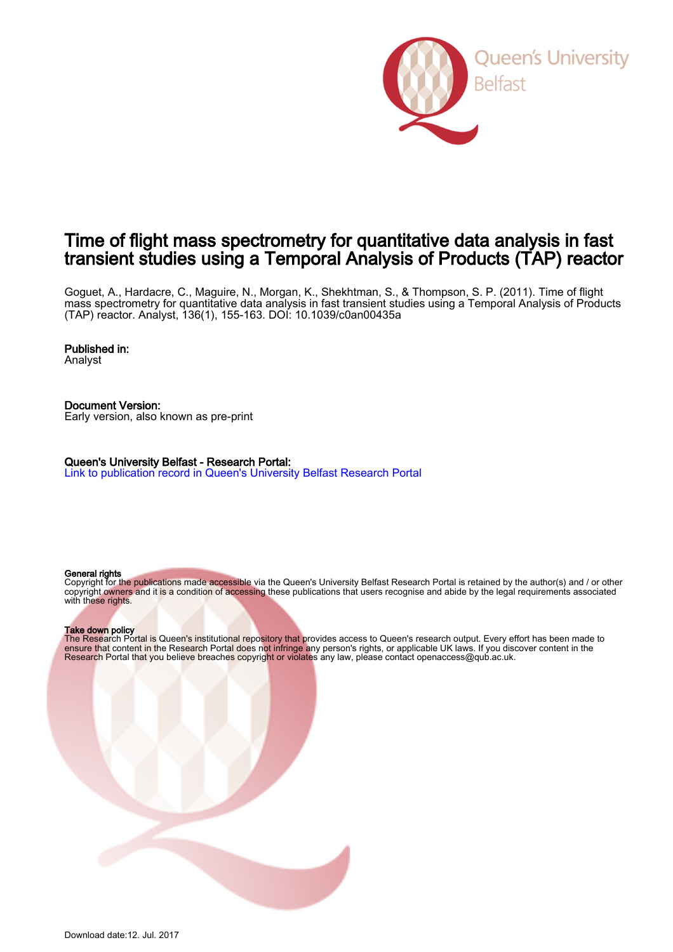

# Time of flight mass spectrometry for quantitative data analysis in fast transient studies using a Temporal Analysis of Products (TAP) reactor

Goguet, A., Hardacre, C., Maguire, N., Morgan, K., Shekhtman, S., & Thompson, S. P. (2011). Time of flight mass spectrometry for quantitative data analysis in fast transient studies using a Temporal Analysis of Products (TAP) reactor. Analyst, 136(1), 155-163. DOI: 10.1039/c0an00435a

## Published in:

Analyst

Document Version: Early version, also known as pre-print

Queen's University Belfast - Research Portal: [Link to publication record in Queen's University Belfast Research Portal](http://pure.qub.ac.uk/portal/en/publications/time-of-flight-mass-spectrometry-for-quantitative-data-analysis-in-fast-transient-studies-using-a-temporal-analysis-of-products-tap-reactor(24069683-5d26-4284-a18b-4809ee40c873).html)

## General rights

Copyright for the publications made accessible via the Queen's University Belfast Research Portal is retained by the author(s) and / or other copyright owners and it is a condition of accessing these publications that users recognise and abide by the legal requirements associated with these rights.

## Take down policy

The Research Portal is Queen's institutional repository that provides access to Queen's research output. Every effort has been made to ensure that content in the Research Portal does not infringe any person's rights, or applicable UK laws. If you discover content in the Research Portal that you believe breaches copyright or violates any law, please contact openaccess@qub.ac.uk.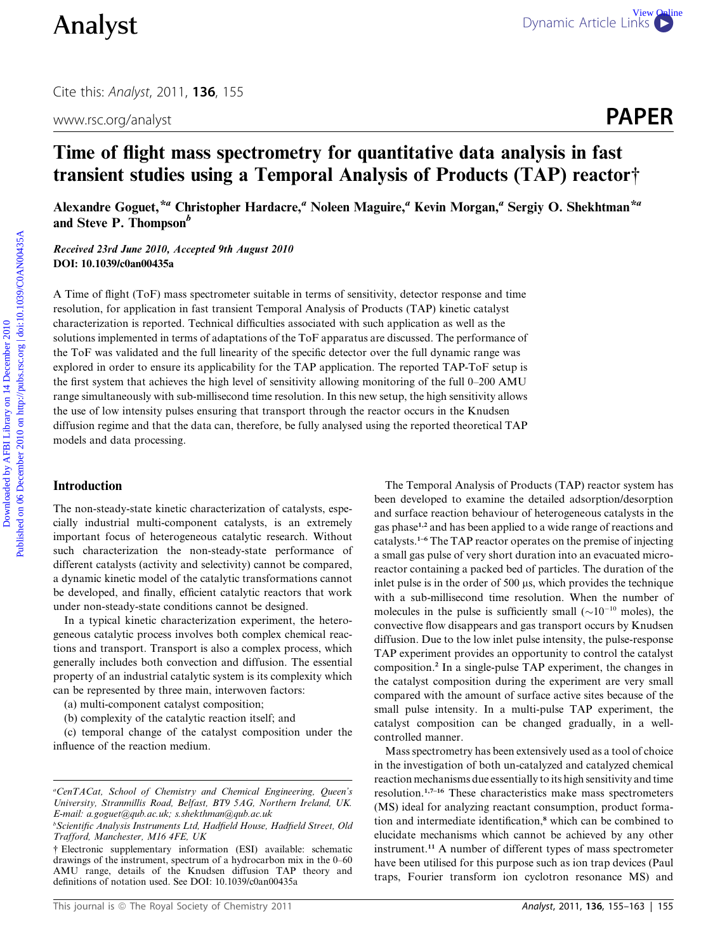www.rsc.org/analyst **PAPER** 

# Time of flight mass spectrometry for quantitative data analysis in fast transient studies using a Temporal Analysis of Products (TAP) reactor†

Alexandre Goguet,<sup>\*a</sup> Christopher Hardacre,<sup>a</sup> Noleen Maguire,<sup>a</sup> Kevin Morgan,<sup>a</sup> Sergiy O. Shekhtman<sup>\*a</sup> and Steve P. Thompson<sup>b</sup>

Received 23rd June 2010, Accepted 9th August 2010 DOI: 10.1039/c0an00435a

A Time of flight (ToF) mass spectrometer suitable in terms of sensitivity, detector response and time resolution, for application in fast transient Temporal Analysis of Products (TAP) kinetic catalyst characterization is reported. Technical difficulties associated with such application as well as the solutions implemented in terms of adaptations of the ToF apparatus are discussed. The performance of the ToF was validated and the full linearity of the specific detector over the full dynamic range was explored in order to ensure its applicability for the TAP application. The reported TAP-ToF setup is the first system that achieves the high level of sensitivity allowing monitoring of the full 0–200 AMU range simultaneously with sub-millisecond time resolution. In this new setup, the high sensitivity allows the use of low intensity pulses ensuring that transport through the reactor occurs in the Knudsen diffusion regime and that the data can, therefore, be fully analysed using the reported theoretical TAP models and data processing. Dynamic Article Links<br>
2011, 136, 155<br>
www.secong/analyst<br>
Time of flight mass spectrometry for quantitative data analysis in fast<br>
framsient studies using a Temporal Analysis of Products (TAP) reactor<sup>4</sup><br>
Account Cognet

## Introduction

The non-steady-state kinetic characterization of catalysts, especially industrial multi-component catalysts, is an extremely important focus of heterogeneous catalytic research. Without such characterization the non-steady-state performance of different catalysts (activity and selectivity) cannot be compared, a dynamic kinetic model of the catalytic transformations cannot be developed, and finally, efficient catalytic reactors that work under non-steady-state conditions cannot be designed.

In a typical kinetic characterization experiment, the heterogeneous catalytic process involves both complex chemical reactions and transport. Transport is also a complex process, which generally includes both convection and diffusion. The essential property of an industrial catalytic system is its complexity which can be represented by three main, interwoven factors:

(a) multi-component catalyst composition;

(b) complexity of the catalytic reaction itself; and

(c) temporal change of the catalyst composition under the influence of the reaction medium.

The Temporal Analysis of Products (TAP) reactor system has been developed to examine the detailed adsorption/desorption and surface reaction behaviour of heterogeneous catalysts in the gas phase<sup>1,2</sup> and has been applied to a wide range of reactions and catalysts.1–6 The TAP reactor operates on the premise of injecting a small gas pulse of very short duration into an evacuated microreactor containing a packed bed of particles. The duration of the inlet pulse is in the order of  $500 \mu s$ , which provides the technique with a sub-millisecond time resolution. When the number of molecules in the pulse is sufficiently small ( $\sim 10^{-10}$  moles), the convective flow disappears and gas transport occurs by Knudsen diffusion. Due to the low inlet pulse intensity, the pulse-response TAP experiment provides an opportunity to control the catalyst composition.<sup>2</sup> In a single-pulse TAP experiment, the changes in the catalyst composition during the experiment are very small compared with the amount of surface active sites because of the small pulse intensity. In a multi-pulse TAP experiment, the catalyst composition can be changed gradually, in a wellcontrolled manner.

Mass spectrometry has been extensively used as a tool of choice in the investigation of both un-catalyzed and catalyzed chemical reaction mechanisms due essentially to its high sensitivity and time resolution.1,7–16 These characteristics make mass spectrometers (MS) ideal for analyzing reactant consumption, product formation and intermediate identification,<sup>8</sup> which can be combined to elucidate mechanisms which cannot be achieved by any other instrument.<sup>11</sup> A number of different types of mass spectrometer have been utilised for this purpose such as ion trap devices (Paul traps, Fourier transform ion cyclotron resonance MS) and

a CenTACat, School of Chemistry and Chemical Engineering, Queen's University, Stranmillis Road, Belfast, BT9 5AG, Northern Ireland, UK. E-mail: a.goguet@qub.ac.uk; s.shekthman@qub.ac.uk

b Scientific Analysis Instruments Ltd, Hadfield House, Hadfield Street, Old Trafford, Manchester, M16 4FE, UK

<sup>†</sup> Electronic supplementary information (ESI) available: schematic drawings of the instrument, spectrum of a hydrocarbon mix in the 0–60 AMU range, details of the Knudsen diffusion TAP theory and definitions of notation used. See DOI: 10.1039/c0an00435a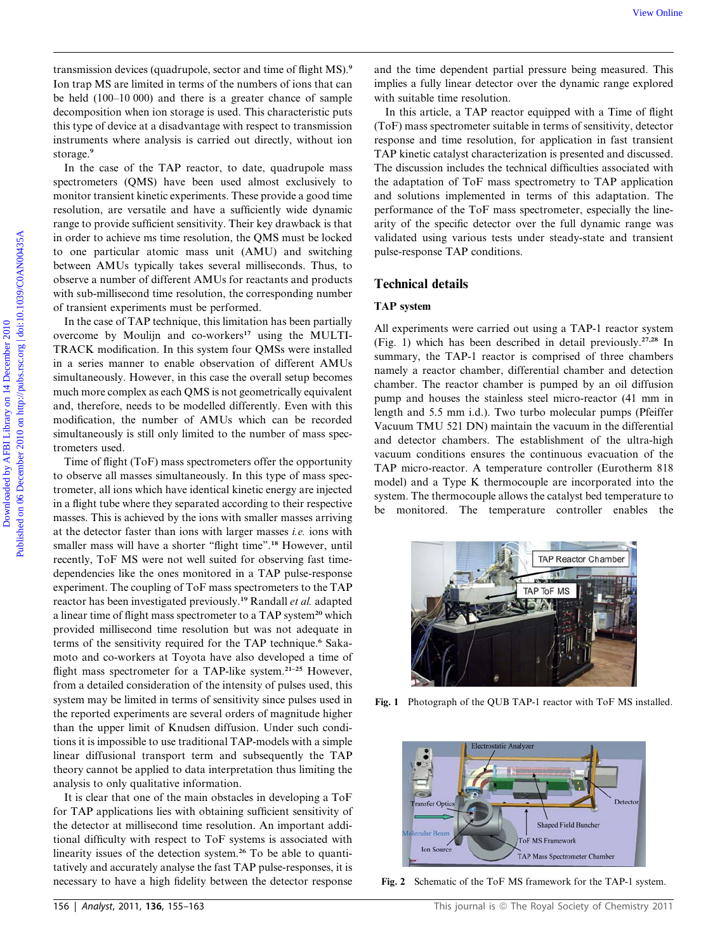transmission devices (quadrupole, sector and time of flight MS).<sup>9</sup> Ion trap MS are limited in terms of the numbers of ions that can be held (100–10 000) and there is a greater chance of sample decomposition when ion storage is used. This characteristic puts this type of device at a disadvantage with respect to transmission instruments where analysis is carried out directly, without ion storage.<sup>9</sup>

In the case of the TAP reactor, to date, quadrupole mass spectrometers (QMS) have been used almost exclusively to monitor transient kinetic experiments. These provide a good time resolution, are versatile and have a sufficiently wide dynamic range to provide sufficient sensitivity. Their key drawback is that in order to achieve ms time resolution, the QMS must be locked to one particular atomic mass unit (AMU) and switching between AMUs typically takes several milliseconds. Thus, to observe a number of different AMUs for reactants and products with sub-millisecond time resolution, the corresponding number of transient experiments must be performed.

In the case of TAP technique, this limitation has been partially overcome by Moulijn and  $co\text{-}works<sup>17</sup>$  using the MULTI-TRACK modification. In this system four QMSs were installed in a series manner to enable observation of different AMUs simultaneously. However, in this case the overall setup becomes much more complex as each QMS is not geometrically equivalent and, therefore, needs to be modelled differently. Even with this modification, the number of AMUs which can be recorded simultaneously is still only limited to the number of mass spectrometers used.

Time of flight (ToF) mass spectrometers offer the opportunity to observe all masses simultaneously. In this type of mass spectrometer, all ions which have identical kinetic energy are injected in a flight tube where they separated according to their respective masses. This is achieved by the ions with smaller masses arriving at the detector faster than ions with larger masses i.e. ions with smaller mass will have a shorter "flight time".<sup>18</sup> However, until recently, ToF MS were not well suited for observing fast timedependencies like the ones monitored in a TAP pulse-response experiment. The coupling of ToF mass spectrometers to the TAP reactor has been investigated previously.<sup>19</sup> Randall *et al.* adapted a linear time of flight mass spectrometer to a TAP system<sup>20</sup> which provided millisecond time resolution but was not adequate in terms of the sensitivity required for the TAP technique.<sup>6</sup> Sakamoto and co-workers at Toyota have also developed a time of flight mass spectrometer for a TAP-like system.<sup>21-25</sup> However, from a detailed consideration of the intensity of pulses used, this system may be limited in terms of sensitivity since pulses used in the reported experiments are several orders of magnitude higher than the upper limit of Knudsen diffusion. Under such conditions it is impossible to use traditional TAP-models with a simple linear diffusional transport term and subsequently the TAP theory cannot be applied to data interpretation thus limiting the analysis to only qualitative information.

It is clear that one of the main obstacles in developing a ToF for TAP applications lies with obtaining sufficient sensitivity of the detector at millisecond time resolution. An important additional difficulty with respect to ToF systems is associated with linearity issues of the detection system.<sup>26</sup> To be able to quantitatively and accurately analyse the fast TAP pulse-responses, it is necessary to have a high fidelity between the detector response

and the time dependent partial pressure being measured. This implies a fully linear detector over the dynamic range explored with suitable time resolution.

In this article, a TAP reactor equipped with a Time of flight (ToF) mass spectrometer suitable in terms of sensitivity, detector response and time resolution, for application in fast transient TAP kinetic catalyst characterization is presented and discussed. The discussion includes the technical difficulties associated with the adaptation of ToF mass spectrometry to TAP application and solutions implemented in terms of this adaptation. The performance of the ToF mass spectrometer, especially the linearity of the specific detector over the full dynamic range was validated using various tests under steady-state and transient pulse-response TAP conditions.

## Technical details

## TAP system

All experiments were carried out using a TAP-1 reactor system (Fig. 1) which has been described in detail previously.27,28 In summary, the TAP-1 reactor is comprised of three chambers namely a reactor chamber, differential chamber and detection chamber. The reactor chamber is pumped by an oil diffusion pump and houses the stainless steel micro-reactor (41 mm in length and 5.5 mm i.d.). Two turbo molecular pumps (Pfeiffer Vacuum TMU 521 DN) maintain the vacuum in the differential and detector chambers. The establishment of the ultra-high vacuum conditions ensures the continuous evacuation of the TAP micro-reactor. A temperature controller (Eurotherm 818 model) and a Type K thermocouple are incorporated into the system. The thermocouple allows the catalyst bed temperature to be monitored. The temperature controller enables the We Online<br>
Determines the control of the particle of the state of the state of the state of the control of the matter of the the control of the control of the control of the control of the control of the control of the co



Fig. 1 Photograph of the QUB TAP-1 reactor with ToF MS installed.



Fig. 2 Schematic of the ToF MS framework for the TAP-1 system.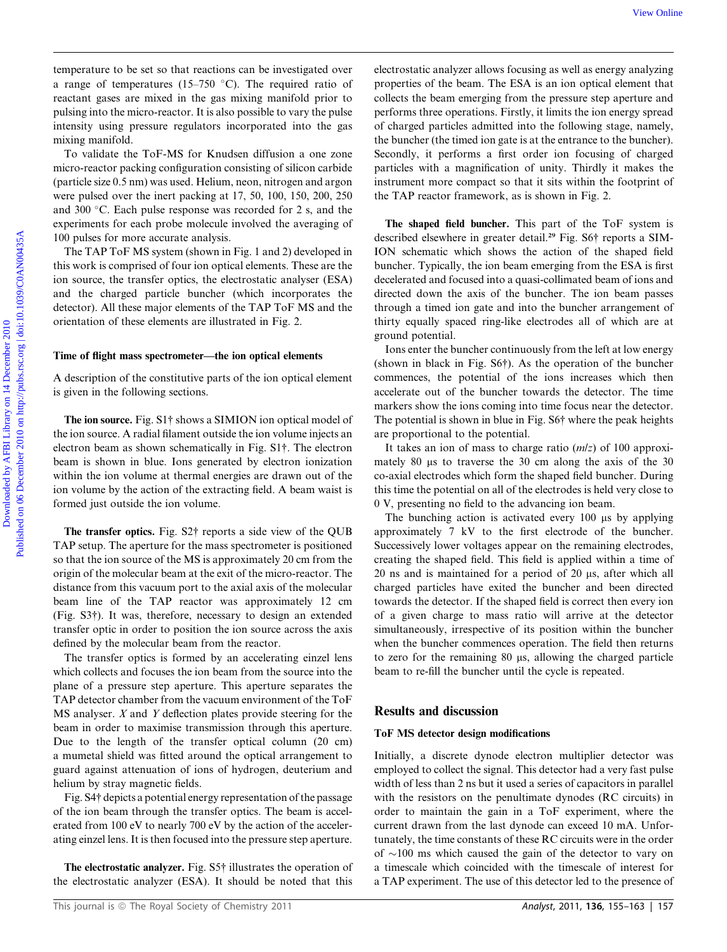temperature to be set so that reactions can be investigated over a range of temperatures (15–750  $\degree$ C). The required ratio of reactant gases are mixed in the gas mixing manifold prior to pulsing into the micro-reactor. It is also possible to vary the pulse intensity using pressure regulators incorporated into the gas mixing manifold.

To validate the ToF-MS for Knudsen diffusion a one zone micro-reactor packing configuration consisting of silicon carbide (particle size 0.5 nm) was used. Helium, neon, nitrogen and argon were pulsed over the inert packing at 17, 50, 100, 150, 200, 250 and 300 °C. Each pulse response was recorded for 2 s, and the experiments for each probe molecule involved the averaging of 100 pulses for more accurate analysis.

The TAP ToF MS system (shown in Fig. 1 and 2) developed in this work is comprised of four ion optical elements. These are the ion source, the transfer optics, the electrostatic analyser (ESA) and the charged particle buncher (which incorporates the detector). All these major elements of the TAP ToF MS and the orientation of these elements are illustrated in Fig. 2.

#### Time of flight mass spectrometer—the ion optical elements

A description of the constitutive parts of the ion optical element is given in the following sections.

The ion source. Fig. S1† shows a SIMION ion optical model of the ion source. A radial filament outside the ion volume injects an electron beam as shown schematically in Fig. S1†. The electron beam is shown in blue. Ions generated by electron ionization within the ion volume at thermal energies are drawn out of the ion volume by the action of the extracting field. A beam waist is formed just outside the ion volume.

The transfer optics. Fig. S2† reports a side view of the QUB TAP setup. The aperture for the mass spectrometer is positioned so that the ion source of the MS is approximately 20 cm from the origin of the molecular beam at the exit of the micro-reactor. The distance from this vacuum port to the axial axis of the molecular beam line of the TAP reactor was approximately 12 cm (Fig. S3†). It was, therefore, necessary to design an extended transfer optic in order to position the ion source across the axis defined by the molecular beam from the reactor.

The transfer optics is formed by an accelerating einzel lens which collects and focuses the ion beam from the source into the plane of a pressure step aperture. This aperture separates the TAP detector chamber from the vacuum environment of the ToF  $MS$  analyser.  $X$  and  $Y$  deflection plates provide steering for the beam in order to maximise transmission through this aperture. Due to the length of the transfer optical column (20 cm) a mumetal shield was fitted around the optical arrangement to guard against attenuation of ions of hydrogen, deuterium and helium by stray magnetic fields.

Fig. S4† depicts a potential energy representation of the passage of the ion beam through the transfer optics. The beam is accelerated from 100 eV to nearly 700 eV by the action of the accelerating einzel lens. It is then focused into the pressure step aperture.

The electrostatic analyzer. Fig. S5† illustrates the operation of the electrostatic analyzer (ESA). It should be noted that this

electrostatic analyzer allows focusing as well as energy analyzing properties of the beam. The ESA is an ion optical element that collects the beam emerging from the pressure step aperture and performs three operations. Firstly, it limits the ion energy spread of charged particles admitted into the following stage, namely, the buncher (the timed ion gate is at the entrance to the buncher). Secondly, it performs a first order ion focusing of charged particles with a magnification of unity. Thirdly it makes the instrument more compact so that it sits within the footprint of the TAP reactor framework, as is shown in Fig. 2. For the set of the reactions can be investigated over deterministic malpose above focusing as well as energy analyzes a consense of the particles of the beam and points in the particle of the beam and points of the beam c

The shaped field buncher. This part of the ToF system is described elsewhere in greater detail.<sup>29</sup> Fig. S6† reports a SIM-ION schematic which shows the action of the shaped field buncher. Typically, the ion beam emerging from the ESA is first decelerated and focused into a quasi-collimated beam of ions and directed down the axis of the buncher. The ion beam passes through a timed ion gate and into the buncher arrangement of thirty equally spaced ring-like electrodes all of which are at ground potential.

Ions enter the buncher continuously from the left at low energy (shown in black in Fig. S6†). As the operation of the buncher commences, the potential of the ions increases which then accelerate out of the buncher towards the detector. The time markers show the ions coming into time focus near the detector. The potential is shown in blue in Fig. S6† where the peak heights are proportional to the potential.

It takes an ion of mass to charge ratio  $(m/z)$  of 100 approximately 80  $\mu$ s to traverse the 30 cm along the axis of the 30 co-axial electrodes which form the shaped field buncher. During this time the potential on all of the electrodes is held very close to 0 V, presenting no field to the advancing ion beam.

The bunching action is activated every  $100 \mu s$  by applying approximately 7 kV to the first electrode of the buncher. Successively lower voltages appear on the remaining electrodes, creating the shaped field. This field is applied within a time of 20 ns and is maintained for a period of 20 µs, after which all charged particles have exited the buncher and been directed towards the detector. If the shaped field is correct then every ion of a given charge to mass ratio will arrive at the detector simultaneously, irrespective of its position within the buncher when the buncher commences operation. The field then returns to zero for the remaining  $80 \mu s$ , allowing the charged particle beam to re-fill the buncher until the cycle is repeated.

#### Results and discussion

#### ToF MS detector design modifications

Initially, a discrete dynode electron multiplier detector was employed to collect the signal. This detector had a very fast pulse width of less than 2 ns but it used a series of capacitors in parallel with the resistors on the penultimate dynodes (RC circuits) in order to maintain the gain in a ToF experiment, where the current drawn from the last dynode can exceed 10 mA. Unfortunately, the time constants of these RC circuits were in the order of  $\sim$ 100 ms which caused the gain of the detector to vary on a timescale which coincided with the timescale of interest for a TAP experiment. The use of this detector led to the presence of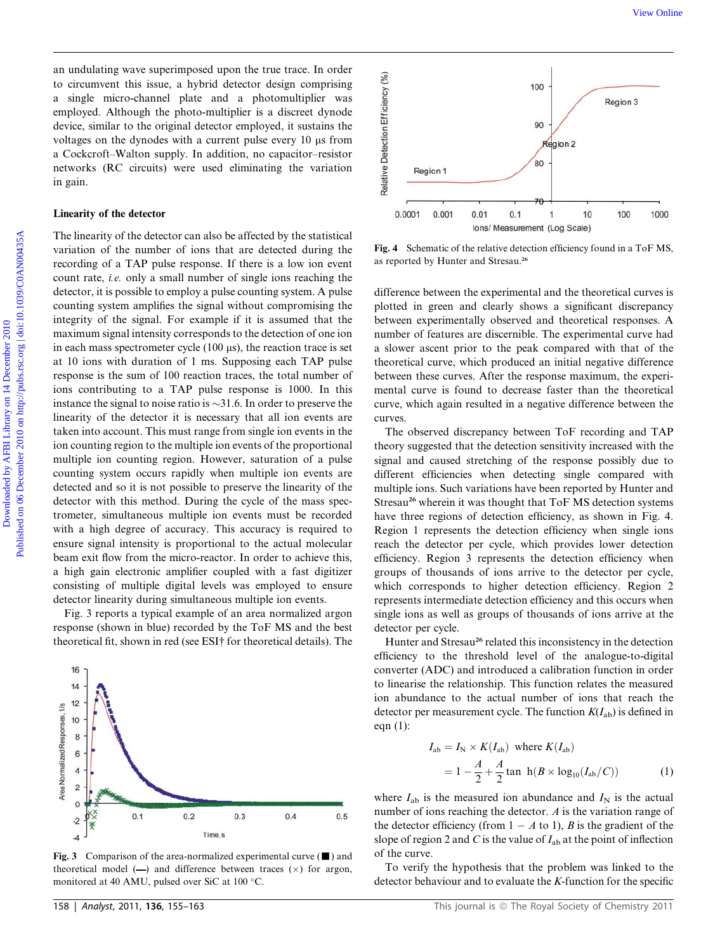an undulating wave superimposed upon the true trace. In order to circumvent this issue, a hybrid detector design comprising a single micro-channel plate and a photomultiplier was employed. Although the photo-multiplier is a discreet dynode device, similar to the original detector employed, it sustains the voltages on the dynodes with a current pulse every 10  $\mu$ s from a Cockcroft–Walton supply. In addition, no capacitor–resistor networks (RC circuits) were used eliminating the variation in gain.

## Linearity of the detector

The linearity of the detector can also be affected by the statistical variation of the number of ions that are detected during the recording of a TAP pulse response. If there is a low ion event count rate, i.e. only a small number of single ions reaching the detector, it is possible to employ a pulse counting system. A pulse counting system amplifies the signal without compromising the integrity of the signal. For example if it is assumed that the maximum signal intensity corresponds to the detection of one ion in each mass spectrometer cycle  $(100 \,\mu s)$ , the reaction trace is set at 10 ions with duration of 1 ms. Supposing each TAP pulse response is the sum of 100 reaction traces, the total number of ions contributing to a TAP pulse response is 1000. In this instance the signal to noise ratio is  $\sim$ 31.6. In order to preserve the linearity of the detector it is necessary that all ion events are taken into account. This must range from single ion events in the ion counting region to the multiple ion events of the proportional multiple ion counting region. However, saturation of a pulse counting system occurs rapidly when multiple ion events are detected and so it is not possible to preserve the linearity of the detector with this method. During the cycle of the mass spectrometer, simultaneous multiple ion events must be recorded with a high degree of accuracy. This accuracy is required to ensure signal intensity is proportional to the actual molecular beam exit flow from the micro-reactor. In order to achieve this, a high gain electronic amplifier coupled with a fast digitizer consisting of multiple digital levels was employed to ensure detector linearity during simultaneous multiple ion events. Downloaded by AFBI Library on the first income of the state. In order  $\frac{2}{3}$  and the dot of the state of the state of the state of the state of the state of the photon of the state of the photon of the state of the sta

Fig. 3 reports a typical example of an area normalized argon response (shown in blue) recorded by the ToF MS and the best theoretical fit, shown in red (see ESI† for theoretical details). The



Fig. 3 Comparison of the area-normalized experimental curve  $(\blacksquare)$  and theoretical model  $(-)$  and difference between traces  $(x)$  for argon, monitored at 40 AMU, pulsed over SiC at 100 °C.



Fig. 4 Schematic of the relative detection efficiency found in a ToF MS, as reported by Hunter and Stresau.<sup>26</sup>

difference between the experimental and the theoretical curves is plotted in green and clearly shows a significant discrepancy between experimentally observed and theoretical responses. A number of features are discernible. The experimental curve had a slower ascent prior to the peak compared with that of the theoretical curve, which produced an initial negative difference between these curves. After the response maximum, the experimental curve is found to decrease faster than the theoretical curve, which again resulted in a negative difference between the curves.

The observed discrepancy between ToF recording and TAP theory suggested that the detection sensitivity increased with the signal and caused stretching of the response possibly due to different efficiencies when detecting single compared with multiple ions. Such variations have been reported by Hunter and Stresau<sup>26</sup> wherein it was thought that ToF MS detection systems have three regions of detection efficiency, as shown in Fig. 4. Region 1 represents the detection efficiency when single ions reach the detector per cycle, which provides lower detection efficiency. Region 3 represents the detection efficiency when groups of thousands of ions arrive to the detector per cycle, which corresponds to higher detection efficiency. Region 2 represents intermediate detection efficiency and this occurs when single ions as well as groups of thousands of ions arrive at the detector per cycle.

Hunter and Stresau<sup>26</sup> related this inconsistency in the detection efficiency to the threshold level of the analogue-to-digital converter (ADC) and introduced a calibration function in order to linearise the relationship. This function relates the measured ion abundance to the actual number of ions that reach the detector per measurement cycle. The function  $K(I_{ab})$  is defined in eqn (1):

$$
I_{ab} = I_N \times K(I_{ab}) \text{ where } K(I_{ab})
$$
  
=  $1 - \frac{A}{2} + \frac{A}{2} \tan \frac{h(B \times \log_{10}(I_{ab}/C))}{l}$  (1)

where  $I_{ab}$  is the measured ion abundance and  $I_N$  is the actual number of ions reaching the detector. A is the variation range of the detector efficiency (from  $1 - A$  to 1), B is the gradient of the slope of region 2 and C is the value of  $I_{ab}$  at the point of inflection of the curve.

To verify the hypothesis that the problem was linked to the detector behaviour and to evaluate the K-function for the specific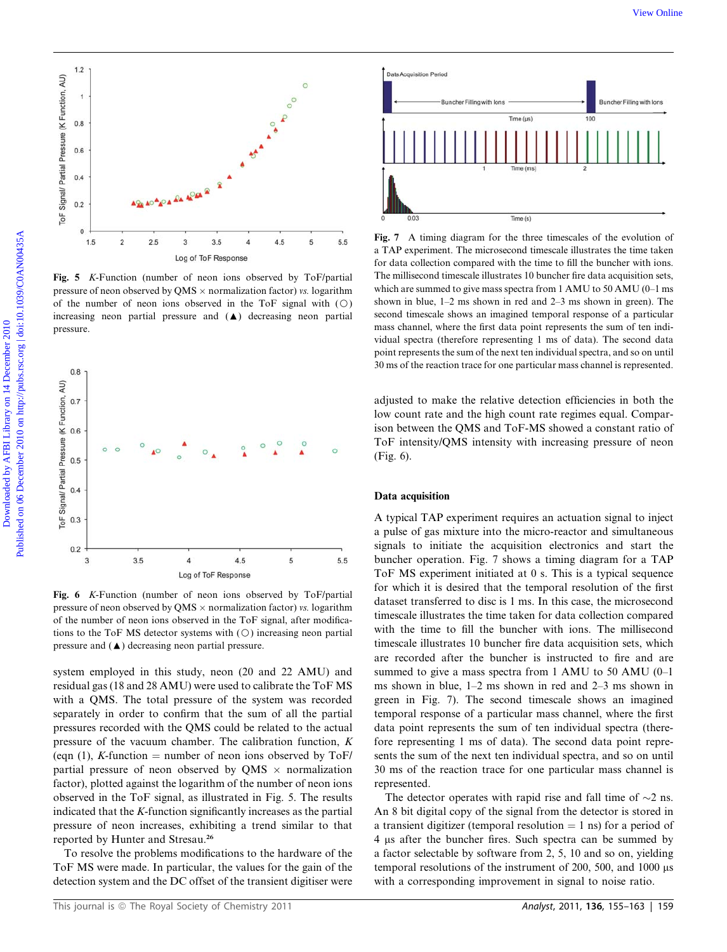

Fig. 5 K-Function (number of neon ions observed by ToF/partial pressure of neon observed by QMS  $\times$  normalization factor) vs. logarithm of the number of neon ions observed in the ToF signal with  $(O)$ increasing neon partial pressure and  $(\triangle)$  decreasing neon partial pressure.



Fig. 6 K-Function (number of neon ions observed by ToF/partial pressure of neon observed by QMS  $\times$  normalization factor) vs. logarithm of the number of neon ions observed in the ToF signal, after modifications to the ToF MS detector systems with  $(O)$  increasing neon partial pressure and  $(\triangle)$  decreasing neon partial pressure.

system employed in this study, neon (20 and 22 AMU) and residual gas (18 and 28 AMU) were used to calibrate the ToF MS with a QMS. The total pressure of the system was recorded separately in order to confirm that the sum of all the partial pressures recorded with the QMS could be related to the actual pressure of the vacuum chamber. The calibration function, K (eqn (1), K-function = number of neon ions observed by ToF/ partial pressure of neon observed by QMS  $\times$  normalization factor), plotted against the logarithm of the number of neon ions observed in the ToF signal, as illustrated in Fig. 5. The results indicated that the K-function significantly increases as the partial pressure of neon increases, exhibiting a trend similar to that reported by Hunter and Stresau.<sup>26</sup>

To resolve the problems modifications to the hardware of the ToF MS were made. In particular, the values for the gain of the detection system and the DC offset of the transient digitiser were



Fig. 7 A timing diagram for the three timescales of the evolution of a TAP experiment. The microsecond timescale illustrates the time taken for data collection compared with the time to fill the buncher with ions. The millisecond timescale illustrates 10 buncher fire data acquisition sets, which are summed to give mass spectra from 1 AMU to 50 AMU (0–1 ms shown in blue, 1–2 ms shown in red and 2–3 ms shown in green). The second timescale shows an imagined temporal response of a particular mass channel, where the first data point represents the sum of ten individual spectra (therefore representing 1 ms of data). The second data point represents the sum of the next ten individual spectra, and so on until 30 ms of the reaction trace for one particular mass channel is represented.

adjusted to make the relative detection efficiencies in both the low count rate and the high count rate regimes equal. Comparison between the QMS and ToF-MS showed a constant ratio of ToF intensity/QMS intensity with increasing pressure of neon (Fig. 6).

#### Data acquisition

A typical TAP experiment requires an actuation signal to inject a pulse of gas mixture into the micro-reactor and simultaneous signals to initiate the acquisition electronics and start the buncher operation. Fig. 7 shows a timing diagram for a TAP ToF MS experiment initiated at 0 s. This is a typical sequence for which it is desired that the temporal resolution of the first dataset transferred to disc is 1 ms. In this case, the microsecond timescale illustrates the time taken for data collection compared with the time to fill the buncher with ions. The millisecond timescale illustrates 10 buncher fire data acquisition sets, which are recorded after the buncher is instructed to fire and are summed to give a mass spectra from 1 AMU to 50 AMU (0–1 ms shown in blue, 1–2 ms shown in red and 2–3 ms shown in green in Fig. 7). The second timescale shows an imagined temporal response of a particular mass channel, where the first data point represents the sum of ten individual spectra (therefore representing 1 ms of data). The second data point represents the sum of the next ten individual spectra, and so on until 30 ms of the reaction trace for one particular mass channel is represented.

The detector operates with rapid rise and fall time of  $\sim$ 2 ns. An 8 bit digital copy of the signal from the detector is stored in a transient digitizer (temporal resolution  $= 1$  ns) for a period of 4 ms after the buncher fires. Such spectra can be summed by a factor selectable by software from 2, 5, 10 and so on, yielding temporal resolutions of the instrument of 200, 500, and 1000  $\mu$ s with a corresponding improvement in signal to noise ratio.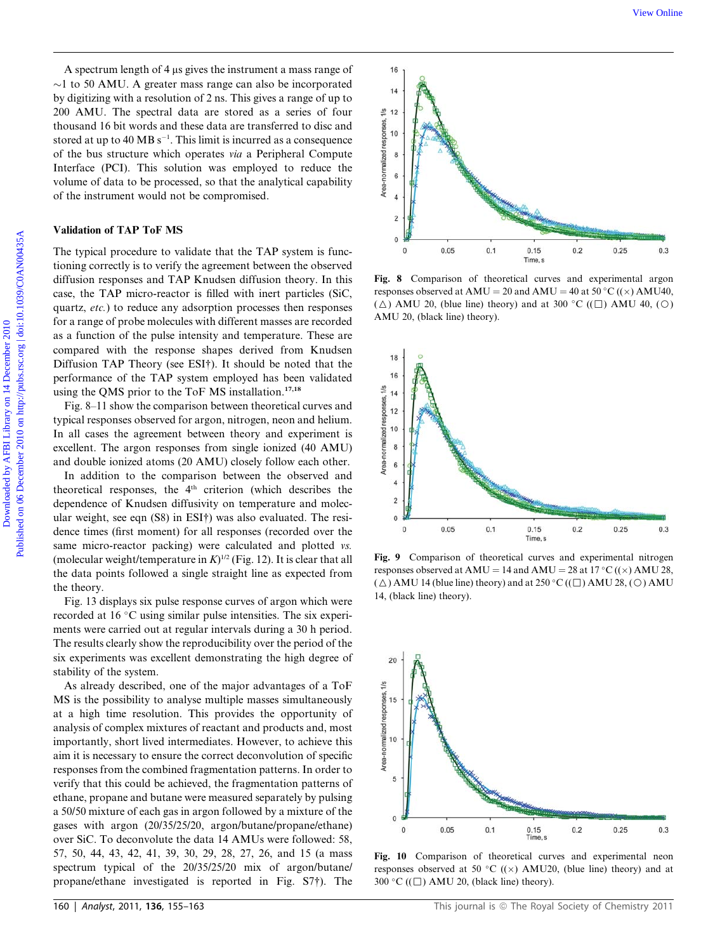A spectrum length of 4 us gives the instrument a mass range of  $\sim$ 1 to 50 AMU. A greater mass range can also be incorporated by digitizing with a resolution of 2 ns. This gives a range of up to 200 AMU. The spectral data are stored as a series of four thousand 16 bit words and these data are transferred to disc and stored at up to 40 MB  $s^{-1}$ . This limit is incurred as a consequence of the bus structure which operates via a Peripheral Compute Interface (PCI). This solution was employed to reduce the volume of data to be processed, so that the analytical capability of the instrument would not be compromised.

## Validation of TAP ToF MS

The typical procedure to validate that the TAP system is functioning correctly is to verify the agreement between the observed diffusion responses and TAP Knudsen diffusion theory. In this case, the TAP micro-reactor is filled with inert particles (SiC, quartz, etc.) to reduce any adsorption processes then responses for a range of probe molecules with different masses are recorded as a function of the pulse intensity and temperature. These are compared with the response shapes derived from Knudsen Diffusion TAP Theory (see ESI†). It should be noted that the performance of the TAP system employed has been validated using the QMS prior to the ToF MS installation.<sup>17,18</sup>

Fig. 8–11 show the comparison between theoretical curves and typical responses observed for argon, nitrogen, neon and helium. In all cases the agreement between theory and experiment is excellent. The argon responses from single ionized (40 AMU) and double ionized atoms (20 AMU) closely follow each other.

In addition to the comparison between the observed and theoretical responses, the  $4<sup>th</sup>$  criterion (which describes the dependence of Knudsen diffusivity on temperature and molecular weight, see eqn (S8) in ESI†) was also evaluated. The residence times (first moment) for all responses (recorded over the same micro-reactor packing) were calculated and plotted vs. (molecular weight/temperature in  $K$ )<sup>1/2</sup> (Fig. 12). It is clear that all the data points followed a single straight line as expected from the theory.

Fig. 13 displays six pulse response curves of argon which were recorded at 16 °C using similar pulse intensities. The six experiments were carried out at regular intervals during a 30 h period. The results clearly show the reproducibility over the period of the six experiments was excellent demonstrating the high degree of stability of the system.

As already described, one of the major advantages of a ToF MS is the possibility to analyse multiple masses simultaneously at a high time resolution. This provides the opportunity of analysis of complex mixtures of reactant and products and, most importantly, short lived intermediates. However, to achieve this aim it is necessary to ensure the correct deconvolution of specific responses from the combined fragmentation patterns. In order to verify that this could be achieved, the fragmentation patterns of ethane, propane and butane were measured separately by pulsing a 50/50 mixture of each gas in argon followed by a mixture of the gases with argon (20/35/25/20, argon/butane/propane/ethane) over SiC. To deconvolute the data 14 AMUs were followed: 58, 57, 50, 44, 43, 42, 41, 39, 30, 29, 28, 27, 26, and 15 (a mass spectrum typical of the 20/35/25/20 mix of argon/butane/ propane/ethane investigated is reported in Fig. S7†). The



Fig. 8 Comparison of theoretical curves and experimental argon responses observed at AMU = 20 and AMU = 40 at 50 °C (( $\times$ ) AMU40, ( $\triangle$ ) AMU 20, (blue line) theory) and at 300 °C (( $\Box$ ) AMU 40, ( $\circ$ ) AMU 20, (black line) theory).



Fig. 9 Comparison of theoretical curves and experimental nitrogen responses observed at AMU = 14 and AMU = 28 at 17 °C (( $\times$ ) AMU 28,  $(\triangle)$  AMU 14 (blue line) theory) and at 250 °C (( $\Box$ ) AMU 28, ( $\odot$ ) AMU 14, (black line) theory).



Fig. 10 Comparison of theoretical curves and experimental neon responses observed at 50 °C (( $\times$ ) AMU20, (blue line) theory) and at 300 °C ( $(\Box)$ ) AMU 20, (black line) theory).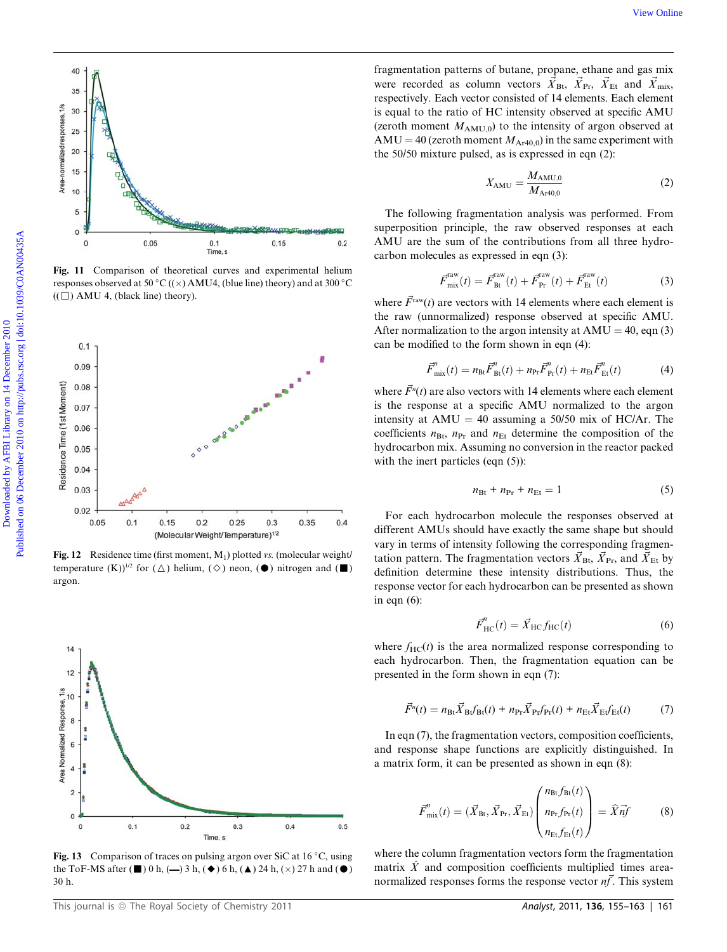

Fig. 11 Comparison of theoretical curves and experimental helium responses observed at 50 °C (( $\times$ ) AMU4, (blue line) theory) and at 300 °C  $((\Box)$  AMU 4, (black line) theory).



Fig. 12 Residence time (first moment,  $M_1$ ) plotted vs. (molecular weight/ temperature  $(K)$ <sup>1/2</sup> for  $(\triangle)$  helium,  $(\diamond)$  neon,  $(\bullet)$  nitrogen and  $(\blacksquare)$ argon.



Fig. 13 Comparison of traces on pulsing argon over SiC at  $16^{\circ}$ C, using the ToF-MS after ( $\blacksquare$ ) 0 h, ( $\rightarrow$ ) 3 h, ( $\blacklozenge$ ) 6 h, ( $\blacktriangle$ ) 24 h, ( $\times$ ) 27 h and ( $\blacksquare$ ) 30 h.

fragmentation patterns of butane, propane, ethane and gas mix were recorded as column vectors  $\vec{X}_{\text{Bt}}$ ,  $\vec{X}_{\text{Pr}}$ ,  $\vec{X}_{\text{Et}}$  and  $\vec{X}_{\text{mix}}$ , respectively. Each vector consisted of 14 elements. Each element is equal to the ratio of HC intensity observed at specific AMU (zeroth moment  $M_{AMU,0}$ ) to the intensity of argon observed at AMU = 40 (zeroth moment  $M_{Ar40,0}$ ) in the same experiment with the 50/50 mixture pulsed, as is expressed in eqn (2):

$$
X_{\text{AMU}} = \frac{M_{\text{AMU},0}}{M_{\text{Ar40},0}} \tag{2}
$$

The following fragmentation analysis was performed. From superposition principle, the raw observed responses at each AMU are the sum of the contributions from all three hydrocarbon molecules as expressed in eqn (3):

$$
\vec{F}^{\text{raw}}_{\text{mix}}(t) = \vec{F}^{\text{raw}}_{\text{Bt}}(t) + \vec{F}^{\text{raw}}_{\text{Pr}}(t) + \vec{F}^{\text{raw}}_{\text{Et}}(t)
$$
(3)

where  $\vec{F}^{\text{raw}}(t)$  are vectors with 14 elements where each element is the raw (unnormalized) response observed at specific AMU. After normalization to the argon intensity at  $AMU = 40$ , eqn (3) can be modified to the form shown in eqn (4):

$$
\vec{F}^{n}_{\text{mix}}(t) = n_{\text{B}t}\vec{F}^{n}_{\text{B}t}(t) + n_{\text{Pr}}\vec{F}^{n}_{\text{Pr}}(t) + n_{\text{Et}}\vec{F}^{n}_{\text{Et}}(t)
$$
(4)

where  $\vec{F}^n(t)$  are also vectors with 14 elements where each element is the response at a specific AMU normalized to the argon intensity at  $AMU = 40$  assuming a 50/50 mix of HC/Ar. The coefficients  $n_{\text{Bt}}$ ,  $n_{\text{Pr}}$  and  $n_{\text{Et}}$  determine the composition of the hydrocarbon mix. Assuming no conversion in the reactor packed with the inert particles (eqn  $(5)$ ):

$$
n_{\text{Bt}} + n_{\text{Pr}} + n_{\text{Et}} = 1 \tag{5}
$$

For each hydrocarbon molecule the responses observed at different AMUs should have exactly the same shape but should vary in terms of intensity following the corresponding fragmentation pattern. The fragmentation vectors  $\vec{X}_{Bt}$ ,  $\vec{X}_{Pr}$ , and  $\vec{X}_{Et}$  by definition determine these intensity distributions. Thus, the response vector for each hydrocarbon can be presented as shown in eqn  $(6)$ :

$$
\vec{F}_{\text{HC}}^n(t) = \vec{X}_{\text{HC}} f_{\text{HC}}(t) \tag{6}
$$

where  $f_{\text{HC}}(t)$  is the area normalized response corresponding to each hydrocarbon. Then, the fragmentation equation can be presented in the form shown in eqn (7):

$$
\vec{F}^{n}(t) = n_{\text{B}t}\vec{X}_{\text{B}t}\hat{f}_{\text{B}t}(t) + n_{\text{Pr}}\vec{X}_{\text{Pr}}f_{\text{Pr}}(t) + n_{\text{Et}}\vec{X}_{\text{Et}}f_{\text{Et}}(t) \tag{7}
$$

In eqn (7), the fragmentation vectors, composition coefficients, and response shape functions are explicitly distinguished. In a matrix form, it can be presented as shown in eqn (8):

$$
\vec{F}^{n}_{\text{mix}}(t) = (\vec{X}_{\text{Bt}}, \vec{X}_{\text{Pr}}, \vec{X}_{\text{Et}}) \begin{pmatrix} n_{\text{Bt}} f_{\text{Bt}}(t) \\ n_{\text{Pr}} f_{\text{Pr}}(t) \\ n_{\text{Et}} f_{\text{Et}}(t) \end{pmatrix} = \hat{X} \vec{n}f \tag{8}
$$

where the column fragmentation vectors form the fragmentation matrix  $\hat{X}$  and composition coefficients multiplied times areanormalized responses forms the response vector  $n\vec{f}$ . This system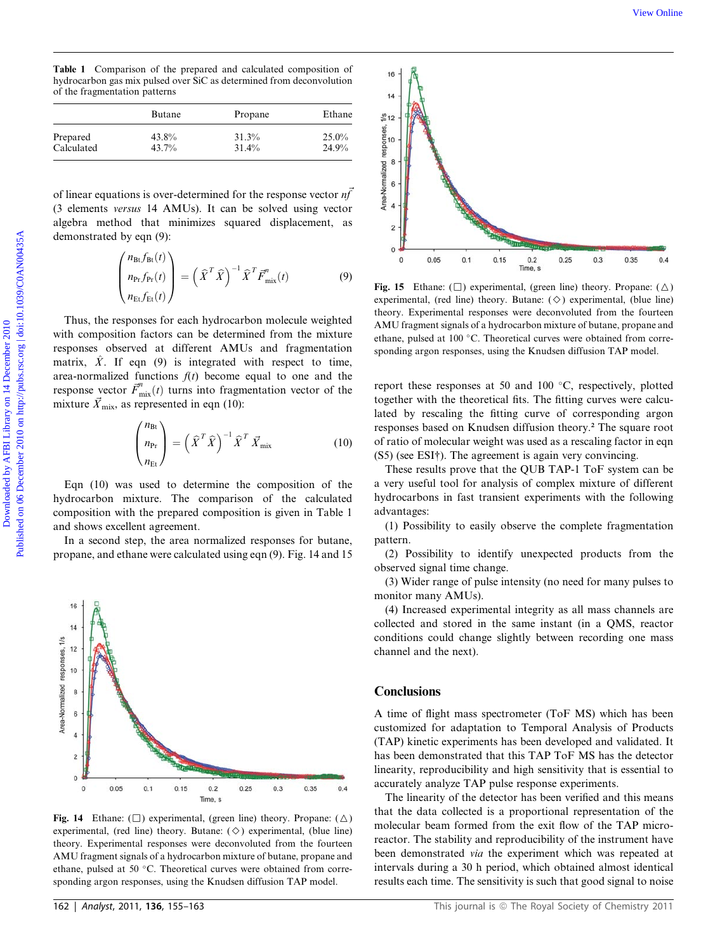Table 1 Comparison of the prepared and calculated composition of hydrocarbon gas mix pulsed over SiC as determined from deconvolution of the fragmentation patterns

|            | Butane | Propane | Ethane |
|------------|--------|---------|--------|
| Prepared   | 43.8%  | 31.3%   | 25.0%  |
| Calculated | 43.7%  | 31.4%   | 24.9%  |

of linear equations is over-determined for the response vector  $n\vec{f}$ (3 elements versus 14 AMUs). It can be solved using vector algebra method that minimizes squared displacement, as demonstrated by eqn (9):

$$
\begin{pmatrix}\nn_{\text{Bt}}f_{\text{Bt}}(t) \\
n_{\text{Pr}}f_{\text{Pr}}(t) \\
n_{\text{Et}}f_{\text{Et}}(t)\n\end{pmatrix} = \left(\widehat{X}^T\widehat{X}\right)^{-1}\widehat{X}^T\overline{F}_{\text{mix}}^n(t)
$$
\n(9)

Thus, the responses for each hydrocarbon molecule weighted with composition factors can be determined from the mixture responses observed at different AMUs and fragmentation matrix,  $\hat{X}$ . If eqn (9) is integrated with respect to time, area-normalized functions  $f(t)$  become equal to one and the response vector  $\vec{F}^n_{\text{mix}}(t)$  turns into fragmentation vector of the mixture  $\vec{X}_{\text{mix}}$ , as represented in eqn (10):

$$
\begin{pmatrix} n_{\text{Bt}} \\ n_{\text{Pr}} \\ n_{\text{Et}} \end{pmatrix} = \left( \widehat{X}^T \widehat{X} \right)^{-1} \widehat{X}^T \vec{X}_{\text{mix}} \tag{10}
$$

Eqn (10) was used to determine the composition of the hydrocarbon mixture. The comparison of the calculated composition with the prepared composition is given in Table 1 and shows excellent agreement.

In a second step, the area normalized responses for butane, propane, and ethane were calculated using eqn (9). Fig. 14 and 15



Fig. 14 Ethane:  $(\Box)$  experimental, (green line) theory. Propane:  $(\triangle)$ experimental, (red line) theory. Butane:  $(\Diamond)$  experimental, (blue line) theory. Experimental responses were deconvoluted from the fourteen AMU fragment signals of a hydrocarbon mixture of butane, propane and ethane, pulsed at 50 °C. Theoretical curves were obtained from corresponding argon responses, using the Knudsen diffusion TAP model.



Fig. 15 Ethane: ( $\square$ ) experimental, (green line) theory. Propane: ( $\triangle$ ) experimental, (red line) theory. Butane:  $(\Diamond)$  experimental, (blue line) theory. Experimental responses were deconvoluted from the fourteen AMU fragment signals of a hydrocarbon mixture of butane, propane and ethane, pulsed at 100 °C. Theoretical curves were obtained from corresponding argon responses, using the Knudsen diffusion TAP model.

report these responses at 50 and 100  $^{\circ}$ C, respectively, plotted together with the theoretical fits. The fitting curves were calculated by rescaling the fitting curve of corresponding argon responses based on Knudsen diffusion theory.<sup>2</sup> The square root of ratio of molecular weight was used as a rescaling factor in eqn (S5) (see ESI†). The agreement is again very convincing.

These results prove that the QUB TAP-1 ToF system can be a very useful tool for analysis of complex mixture of different hydrocarbons in fast transient experiments with the following advantages:

(1) Possibility to easily observe the complete fragmentation pattern.

(2) Possibility to identify unexpected products from the observed signal time change.

(3) Wider range of pulse intensity (no need for many pulses to monitor many AMUs).

(4) Increased experimental integrity as all mass channels are collected and stored in the same instant (in a QMS, reactor conditions could change slightly between recording one mass channel and the next).

## **Conclusions**

A time of flight mass spectrometer (ToF MS) which has been customized for adaptation to Temporal Analysis of Products (TAP) kinetic experiments has been developed and validated. It has been demonstrated that this TAP ToF MS has the detector linearity, reproducibility and high sensitivity that is essential to accurately analyze TAP pulse response experiments.

The linearity of the detector has been verified and this means that the data collected is a proportional representation of the molecular beam formed from the exit flow of the TAP microreactor. The stability and reproducibility of the instrument have been demonstrated via the experiment which was repeated at intervals during a 30 h period, which obtained almost identical results each time. The sensitivity is such that good signal to noise